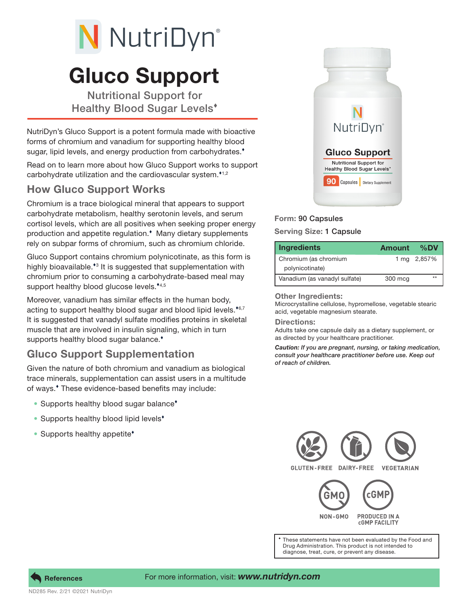# N NutriDyn®

# Gluco Support

Nutritional Support for Healthy Blood Sugar Levels

NutriDyn's Gluco Support is a potent formula made with bioactive forms of chromium and vanadium for supporting healthy blood sugar, lipid levels, and energy production from carbohydrates.<sup>\*</sup>

Read on to learn more about how Gluco Support works to support carbohydrate utilization and the cardiovascular system. $1,2$ 

### How Gluco Support Works

Chromium is a trace biological mineral that appears to support carbohydrate metabolism, healthy serotonin levels, and serum cortisol levels, which are all positives when seeking proper energy production and appetite regulation.<sup>\*</sup> Many dietary supplements rely on subpar forms of chromium, such as chromium chloride.

Gluco Support contains chromium polynicotinate, as this form is highly bioavailable.<sup>\*</sup><sup>3</sup> It is suggested that supplementation with chromium prior to consuming a carbohydrate-based meal may support healthy blood glucose levels.\*4,5

Moreover, vanadium has similar effects in the human body, acting to support healthy blood sugar and blood lipid levels. $*6,7$ It is suggested that vanadyl sulfate modifies proteins in skeletal muscle that are involved in insulin signaling, which in turn supports healthy blood sugar balance.<sup>\*</sup>

## Gluco Support Supplementation

Given the nature of both chromium and vanadium as biological trace minerals, supplementation can assist users in a multitude of ways. These evidence-based benefits may include:

- Supports healthy blood sugar balance<sup>\*</sup>
- Supports healthy blood lipid levels<sup>\*</sup>
- Supports healthy appetite<sup>\*</sup>



#### Form: 90 Capsules

#### Serving Size: 1 Capsule

| <b>Ingredients</b>            | <b>Amount</b> | %DV         |
|-------------------------------|---------------|-------------|
| Chromium (as chromium         |               | 1 mg 2,857% |
| polynicotinate)               |               |             |
| Vanadium (as vanadyl sulfate) | 300 mcg       |             |

#### Other Ingredients:

Microcrystalline cellulose, hypromellose, vegetable stearic acid, vegetable magnesium stearate.

#### Directions:

Adults take one capsule daily as a dietary supplement, or as directed by your healthcare practitioner.

*Caution: If you are pregnant, nursing, or taking medication, consult your healthcare practitioner before use. Keep out of reach of children.*



These statements have not been evaluated by the Food and Drug Administration. This product is not intended to diagnose, treat, cure, or prevent any disease.



ND285 Rev. 2/21 ©2021 NutriDyn